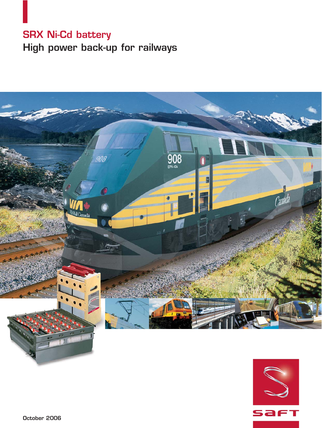# **SRX Ni-Cd battery High power back-up for railways**



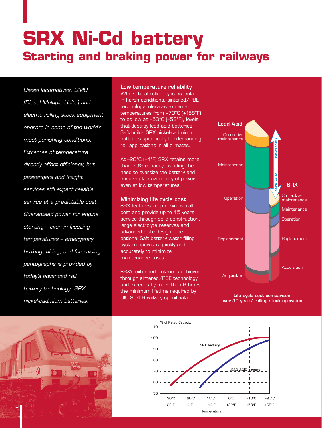# **SRX Ni-Cd battery Starting and braking power for railways**

Diesel locomotives, DMU (Diesel Multiple Units) and electric rolling stock equipment operate in some of the world's most punishing conditions. Extremes of temperature directly affect efficiency, but passengers and freight services still expect reliable service at a predictable cost. Guaranteed power for engine starting – even in freezing temperatures – emergency braking, tilting, and for raising pantographs is provided by today's advanced rail battery technology: SRX nickel-cadmium batteries.

# **Low temperature reliability**

Where total reliability is essential in harsh conditions, sintered/PBE technology tolerates extreme temperatures from +70°C (+158°F) to as low as –50°C (–58°F), levels that destroy lead acid batteries. Saft builds SRX nickel-cadmium batteries specifically for demanding rail applications in all climates.

At –20°C (–4°F) SRX retains more than 70% capacity, avoiding the need to oversize the battery and ensuring the availability of power even at low temperatures.

## **Minimizing life cycle cost**

SRX features keep down overall cost and provide up to 15 years' service through solid construction, large electrolyte reserves and advanced plate design. The optional Saft battery water filling system operates quickly and accurately to minimize maintenance costs.

SRX's extended lifetime is achieved through sintered/PBE technology and exceeds by more than 6 times the minimum lifetime required by UIC 854 R railway specification. **Life cycle cost comparison**



**over 30 years' rolling stock operation**



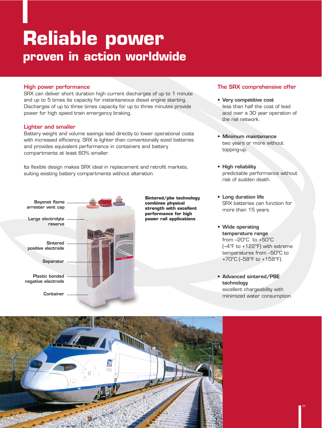# **Reliable power proven in action worldwide**

# **High power performance**

SRX can deliver short duration high current discharges of up to 1 minute and up to 5 times its capacity for instantaneous diesel engine starting. Discharges of up to three times capacity for up to three minutes provide power for high speed train emergency braking.

# **Lighter and smaller**

Battery weight and volume savings lead directly to lower operational costs with increased efficiency. SRX is lighter than conventionally sized batteries and provides equivalent performance in containers and battery compartments at least 60% smaller.

Its flexible design makes SRX ideal in replacement and retrofit markets, suiting existing battery compartments without alteration.



**Sintered/pbe technology combines physical strength with excellent performance for high power rail applications**

# **The SRX comprehensive offer**

- **Very competitive cost** less than half the cost of lead acid over a 30 year operation of the rail network.
- **Minimum maintenance** two years or more without topping-up.
- **High reliability** predictable performance without risk of sudden death.
- **Long duration life** SRX batteries can function for more than 15 years.
- **Wide operating temperature range** from –20°C to +50°C (–4°F to +122°F) with extreme temperatures from –50°C to +70°C (–58°F to +158°F).
- **Advanced sintered/PBE technology** excellent chargeability with minimized water consumption.

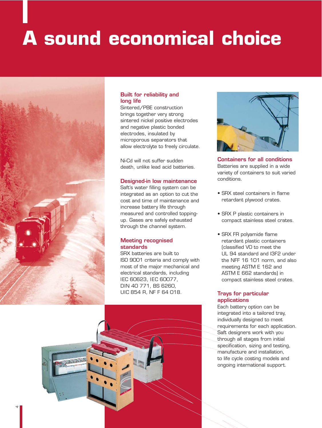# **A sound economical choice**



# **Built for reliability and long life**

Sintered/PBE construction brings together very strong sintered nickel positive electrodes and negative plastic bonded electrodes, insulated by microporous separators that allow electrolyte to freely circulate.

Ni-Cd will not suffer sudden death, unlike lead acid batteries.

# **Designed-in low maintenance**

Saft's water filling system can be integrated as an option to cut the cost and time of maintenance and increase battery life through measured and controlled toppingup. Gases are safely exhausted through the channel system.

# **Meeting recognised standards**

SRX batteries are built to ISO 9001 criteria and comply with most of the major mechanical and electrical standards, including IEC 60623, IEC 60077, DIN 40 771, BS 6260, UIC 854 R, NF F 64 018.



**Containers for all conditions** Batteries are supplied in a wide variety of containers to suit varied conditions.

- SRX steel containers in flame retardant plywood crates.
- SRX P plastic containers in compact stainless steel crates.
- SRX FR polyamide flame retardant plastic containers (classified V0 to meet the UL 94 standard and I3F2 under the NFF 16 101 norm, and also meeting ASTM E 162 and ASTM E 662 standards) in compact stainless steel crates.

# **Trays for particular applications**

Each battery option can be integrated into a tailored tray, individually designed to meet requirements for each application. Saft designers work with you through all stages from initial specification, sizing and testing, manufacture and installation, to life cycle costing models and ongoing international support.

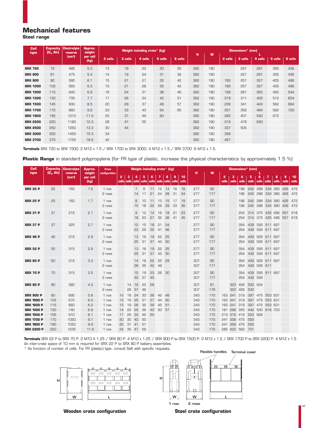# **Mechanical features**

**Steel range**

| <b>Cell</b><br>type | <b>Capacity</b><br>$(C_n$ Ah) | <b>Electrolyte</b><br>reserve | Approx.<br>weight |         |         | Weight including crate* (kg) |         |         | Dimensions* (mm) |     |         |         |         |         |         |  |
|---------------------|-------------------------------|-------------------------------|-------------------|---------|---------|------------------------------|---------|---------|------------------|-----|---------|---------|---------|---------|---------|--|
|                     |                               | [cm <sup>3</sup> ]            | per cell<br>(kg)  | 2 cells | 3 cells | 4 cells                      | 5 cells | 6 cells | н                | W   | 2 cells | 3 cells | 4 cells | 5 cells | 6 cells |  |
| <b>SRX 720</b>      | 73                            | 485                           | 5.3               | 13      | 18      | 23                           | 30      | 35      | 362              | 190 |         | 227     | 291     | 355     | 436     |  |
| <b>SRX 800</b>      | 81                            | 475                           | 5.4               | 14      | 19      | 24                           | 31      | 36      | 362              | 190 |         | 227     | 291     | 355     | 436     |  |
| <b>SRX 900</b>      | 90                            | 580                           | 6.1               | 15      | 21      | 27                           | 35      | 42      | 362              | 190 | 183     | 257     | 327     | 405     | 496     |  |
| <b>SRX 1000</b>     | 103                           | 565                           | 6.3               | 15      | 21      | 28                           | 35      | 42      | 362              | 190 | 183     | 257     | 327     | 405     | 496     |  |
| <b>SRX 1200</b>     | 115                           | 640                           | 6.9               | 16      | 24      | 31                           | 38      | 46      | 362              | 190 | 199     | 281     | 363     | 462     | 544     |  |
| <b>SRX 1300</b>     | 130                           | 735                           | 7.7               | 17      | 26      | 34                           | 42      | 51      | 362              | 190 | 219     | 311     | 403     | 512     | 604     |  |
| <b>SRX 1500</b>     | 145                           | 830                           | 8.5               | 20      | 29      | 37                           | 48      | 57      | 362              | 190 | 239     | 341     | 443     | 562     | 664     |  |
| <b>SRX 1700</b>     | 170                           | 860                           | 9.6               | 23      | 33      | 43                           | 54      | 65      | 362              | 190 | 251     | 359     | 484     | 592     | 700     |  |
| <b>SRX 1900</b>     | 195                           | 1010                          | 11.0              | 25      | 37      | 49                           | 60      |         | 362              | 190 | 283     | 407     | 540     | 672     |         |  |
| <b>SRX 2200</b>     | 220                           | 1180                          | 12.3              | 28      | 41      | 55                           |         |         | 362              | 190 | 319     | 478     | 620     |         |         |  |
| <b>SRX 2500</b>     | 250                           | 1250                          | 13.3              | 30      | 44      |                              |         |         | 362              | 190 | 337     | 505     |         |         |         |  |
| <b>SRX 3000</b>     | 300                           | 1455                          | 15.3              | 34      |         |                              |         |         | 362              | 190 | 399     |         |         |         |         |  |
| <b>SRX 3700</b>     | 375                           | 1755                          | 18.6              | 42      |         |                              |         |         | 362              | 190 | 467     |         |         |         |         |  |

**Terminals** SRX 720 to SRX 1500: 2 M12 x 1.5 / SRX 1700 to SRX 3000: 4 M12 x 1.5 / SRX 3700: 6 M12 x 1.5.

**Plastic Range** in standard polypropylene (for FR type of plastic, increase the physical characteristics by approximately 1.5 %)

| <b>Cell</b>       | <b>Capacity</b> | <b>Electrolyte</b> | Approx.          | <b>Crate</b>    | Weight including crate* (kg) |          |                  |            |            |            |                  |          |             | Dimensions* (mm) |           |            |             |                 |                    |                                    |            |            |                                |             |
|-------------------|-----------------|--------------------|------------------|-----------------|------------------------------|----------|------------------|------------|------------|------------|------------------|----------|-------------|------------------|-----------|------------|-------------|-----------------|--------------------|------------------------------------|------------|------------|--------------------------------|-------------|
| type              | $(C_n$ Ah)      | reserve            | weight           | configuration   |                              |          |                  |            |            |            |                  |          |             | н                | W         |            |             |                 |                    |                                    |            |            |                                |             |
|                   |                 | [cm <sup>3</sup> ] | per cell<br>(kg) |                 | 2<br>cells                   | з        | 4<br>cells cells | 5<br>cells | 6<br>cells | 7<br>cells | 8<br>cells cells | 9        | 10<br>cells |                  |           | 2<br>cells | з<br>cells  | 4<br>cells      | 5<br>cells         | 6<br>cells                         | 7<br>cells | 8<br>cells | 9<br>cells                     | 10<br>cells |
| <b>SRX 22 P</b>   | 55              | 160                | 1.6              | 1 row           |                              |          | 7                | 9          | 11         | 12         | 14               | 16       | 18          | 277              | 90        |            |             | 196             |                    | 242 288 334 380 426                |            |            |                                | 472         |
|                   |                 |                    |                  | 2 rows          |                              |          | 14               | 17         | 21         | 24         | 28               | 31       | 34          | 277              | 177       |            |             | 196             |                    |                                    |            |            | 242 288 334 380 426 472        |             |
| <b>SRX 25 P</b>   | 25              | 160                | 1.7              | 1 row<br>2 rows |                              |          | 8<br>15          | 10<br>18   | 11<br>55   | 13<br>26   | 15<br>29         | 17<br>33 | 19<br>36    | 277<br>277       | 90<br>177 |            |             | 196<br>196      | 242                | 288<br>242 288 334 380 426         | 334 380    |            | 426                            | 472<br>472  |
| <b>SRX 31 P</b>   | 31              | 215                | 2.1              | 1 row<br>2 rows |                              |          | 9<br>18          | 12<br>23   | 14<br>27   | 16<br>32   | 18<br>36         | 21<br>41 | 23<br>45    | 277<br>277       | 90<br>177 |            |             | 254<br>254      |                    | 314 375 435 496                    |            |            | 557<br>314 375 435 496 557 618 | 618         |
| <b>SRX 37 P</b>   | 37              | 325                | 2.7              | 1 row<br>2 rows |                              |          | 12<br>23         | 15<br>29   | 18<br>35   | 21<br>41   | 24<br>46         |          |             | 277<br>277       | 90<br>177 |            |             | 354<br>354      |                    | 439 526 611 697<br>439 526 611 697 |            |            |                                |             |
| <b>SRX 46 P</b>   | 46              | 315                | 2.9              | 1 row<br>2 rows |                              |          | 13<br>25         | 16<br>31   | 19<br>37   | 22<br>43   | 25<br>50         |          |             | 277<br>277       | 90<br>177 |            |             | 354<br>354      |                    | 439 526 611 697<br>439 526 611 697 |            |            |                                |             |
| <b>SRX 52 P</b>   | 52              | 315                | 2.9              | 1 row<br>2 rows |                              |          | 13<br>25         | 16<br>31   | 19<br>37   | 22<br>43   | 25<br>50         |          |             | 277<br>277       | 90<br>177 |            |             | 354<br>354      |                    | 439 526 611 697<br>439 526 611 697 |            |            |                                |             |
| <b>SRX 60 P</b>   | 60              | 315                | 3.3              | 1 row<br>2 rows |                              |          | 14<br>28         | 18<br>35   | 55<br>42   | 25<br>49   | 29               |          |             | 307<br>307       | 90<br>177 |            |             | 354<br>354      |                    | 439 526 611 697<br>439 526 611     |            |            |                                |             |
| <b>SRX 70 P</b>   | 70              | 315                | 3.5              | 1 row<br>2 rows |                              |          | 15<br>30         | 19<br>37   | 23<br>45   | 26         | 30               |          |             | 307<br>307       | 90<br>177 |            |             | 354             | 439<br>354 439 526 | 526 611 697                        |            |            |                                |             |
| <b>SRX 80 P</b>   | 80              | 380                | 4.3              | 1 row<br>2 rows |                              | 14<br>28 | 19<br>37         | 23<br>46   | 28         |            |                  |          |             | 307<br>307       | 91<br>178 |            | 323         | 426<br>323 426  | 530 634<br>530     |                                    |            |            |                                |             |
| <b>SRX 900 P</b>  | 90              | 690                | 5.8              | 1 row           | 12                           | 18       | 24               | 30         | 36         | 42         | 48               |          |             | 343              | 170       |            | 163 241 319 |                 |                    | 397 475 553 631                    |            |            |                                |             |
| <b>SRX 1000 P</b> | 103             | 670                | 6.0              | 1 row           | 13                           | 19       | 25               | 31         | 37         | 44         | 50               |          |             | 343              | 170       |            | 163 241 319 |                 |                    | 397 475 553 631                    |            |            |                                |             |
| <b>SRX 1200 P</b> | 115             | 660                | 6.2              | 1 row           | 13                           | 19       | 26               | 32         | 39         | 45         | 51               |          |             | 343              | 170       |            | 163 241 319 |                 |                    | 397 475 553 631                    |            |            |                                |             |
| <b>SRX 1300 P</b> | 130             | 740                | 6.9              | 1 row           | 14                           | 22       | 29               | 36         | 43         | 50         | 57               |          |             | 343              | 170       | 181        | 268 355     |                 |                    | 442 530 616 703                    |            |            |                                |             |
| <b>SRX 1500 P</b> | 155             | 910                | 8.1              | 1 row           | 17                           | 25       | 33               | 42         | 50         |            |                  |          |             | 343              | 170       |            |             | 213 316 419     | 523 626            |                                    |            |            |                                |             |
| <b>SRX 1700 P</b> | 170             | 1050               | 9.7              | 1 row           | 20                           | 30       | 40               | 50         |            |            |                  |          |             | 343              | 170       |            |             | 241 358 475     | 593                |                                    |            |            |                                |             |
| <b>SRX 1900 P</b> | 190             | 1030               | 9.9              | 1 row           | 20                           | 31       | 41               | 51         |            |            |                  |          |             | 343              | 170       |            |             | 241 358 475 593 |                    |                                    |            |            |                                |             |
| <b>SRX 2200 P</b> | 220             | 1235               | 11.6             | 1 row           | 24                           | 35       | 47               | 59         |            |            |                  |          |             | 343              | 170       |            |             | 285 423 562 701 |                    |                                    |            |            |                                |             |

**Terminals** SRX 22 P to SRX 70 P: 2 M10 X 1.25 / SRX 80 P: 4 M10 x 1.25 / SRX 900 P to SRX 1500 P: 2 M12 x 1.5 / SRX 1700 P to SRX 2200 P: 4 M12 x 1.5 An inter-crate space of 10 mm is required for SRX 22 P to SRX 80 P battery assemblies.

\* As function of number of cells. For FR (plastic) type, consult Saft with specific requests. **Flexible handles Terminal cover**





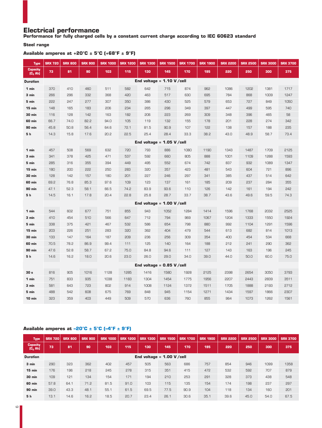# **Electrical performance**

**Performance for fully charged cells by a constant current charge according to IEC 60623 standard**

## **Steel range**

# **Available amperes at +20°C ± 5°C (+68°F ± 9°F)**

| <b>Type</b>                  | <b>SRX 720</b> | <b>SRX 800</b> | <b>SRX 900</b> | <b>SRX 1000</b> | <b>SRX 1200</b> | <b>SRX 1300</b>             | <b>SRX 1500</b> | <b>SRX 1700</b> | <b>SRX 1900</b> | <b>SRX 2200</b> | <b>SRX 2500</b> | <b>SRX 3000</b> | <b>SRX 3700</b> |
|------------------------------|----------------|----------------|----------------|-----------------|-----------------|-----------------------------|-----------------|-----------------|-----------------|-----------------|-----------------|-----------------|-----------------|
| <b>Capacity</b><br>$(C5$ Ah) | 73             | 81             | 90             | 103             | 115             | 130                         | 145             | 170             | 195             | 220             | 250             | 300             | 375             |
| <b>Duration</b>              |                |                |                |                 |                 | End voltage = $1.10 V/cell$ |                 |                 |                 |                 |                 |                 |                 |
| 1 min                        | 370            | 410            | 460            | 511             | 582             | 642                         | 715             | 874             | 962             | 1086            | 1202            | 1381            | 1717            |
| 3 min                        | 266            | 296            | 332            | 368             | 420             | 463                         | 517             | 630             | 695             | 784             | 868             | 1009            | 1247            |
| 5 min                        | 555            | 247            | 277            | 307             | 350             | 386                         | 430             | 525             | 579             | 653             | 727             | 849             | 1050            |
| 15 min                       | 148            | 165            | 183            | 206             | 234             | 265                         | 296             | 349             | 397             | 447             | 499             | 595             | 740             |
| <b>30 min</b>                | 116            | 128            | 142            | 163             | 182             | 206                         | 223             | 269             | 309             | 348             | 396             | 465             | 58              |
| <b>60 min</b>                | 66.7           | 74.0           | 82.2           | 94.0            | 105             | 119                         | 132             | 155             | 178             | 201             | 228             | 274             | 342             |
| <b>90 min</b>                | 45.8           | 50.8           | 56.4           | 64.6            | 72.1            | 81.5                        | 90.9            | 107             | 122             | 138             | 157             | 188             | 235             |
| 5h                           | 14.3           | 15.8           | 17.6           | 20.2            | 22.5            | 25.4                        | 28.4            | 33.3            | 38.2            | 43.0            | 48.9            | 58.7            | 73.4            |
|                              |                |                |                |                 |                 | End voltage = $1.05$ V/cell |                 |                 |                 |                 |                 |                 |                 |
| 1 min                        | 457            | 508            | 569            | 632             | 720             | 793                         | 886             | 1080            | 1190            | 1343            | 1487            | 1709            | 2125            |
| 3 min                        | 341            | 378            | 425            | 471             | 537             | 592                         | 660             | 805             | 888             | 1001            | 1109            | 1288            | 1593            |
| 5 min                        | 285            | 316            | 355            | 394             | 449             | 495                         | 552             | 674             | 742             | 837             | 932             | 1089            | 1347            |
| 15 min                       | 180            | 200            | 555            | 250             | 283             | 320                         | 357             | 423             | 481             | 543             | 604             | 721             | 896             |
| <b>30 min</b>                | 128            | 142            | 157            | 180             | 201             | 227                         | 246             | 297             | 341             | 385             | 437             | 514             | 642             |
| <b>60 min</b>                | 69.2           | 76.8           | 85.3           | 97.6            | 109             | 123                         | 137             | 161             | 185             | 209             | 237             | 284             | 355             |
| <b>90 min</b>                | 47.1           | 52.3           | 58.1           | 66.5            | 74.2            | 83.9                        | 93.6            | 110             | 126             | 142             | 161             | 194             | 242             |
| 5 h                          | 14.5           | 16.1           | 17.8           | 20.4            | 22.8            | 25.8                        | 28.7            | 33.7            | 38.7            | 43.6            | 49.6            | 59.5            | 74.3            |
|                              |                |                |                |                 |                 | End voltage = $1.00 V/cell$ |                 |                 |                 |                 |                 |                 |                 |
| 1 min                        | 544            | 602            | 677            | 751             | 855             | 943                         | 1052            | 1284            | 1414            | 1596            | 1768            | 2032            | 2525            |
| 3 min                        | 410            | 454            | 510            | 566             | 647             | 712                         | 794             | 969             | 1067            | 1204            | 1333            | 1550            | 1924            |
| 5 min                        | 338            | 375            | 421            | 467             | 532             | 586                         | 654             | 798             | 880             | 992             | 1104            | 1291            | 1596            |
| 15 min                       | 203            | 226            | 251            | 283             | 320             | 362                         | 404             | 479             | 544             | 613             | 682             | 814             | 1013            |
| <b>30 min</b>                | 133            | 147            | 164            | 187             | 209             | 236                         | 256             | 309             | 354             | 400             | 454             | 534             | 668             |
| 60 min                       | 70.5           | 78.2           | 86.9           | 99.4            | 111             | 125                         | 140             | 164             | 188             | 212             | 241             | 290             | 362             |
| <b>90 min</b>                | 47.6           | 52.8           | 58.7           | 67.2            | 75.0            | 84.8                        | 94.6            | 111             | 127             | 143             | 163             | 196             | 245             |
| 5 h                          | 14.6           | 16.2           | 18.0           | 20.6            | 23.0            | 26.0                        | 29.0            | 34.0            | 39.0            | 44.0            | 50.0            | 60.0            | 75.0            |
|                              |                |                |                |                 |                 | End voltage = $0.85$ V/cell |                 |                 |                 |                 |                 |                 |                 |
| 30 <sub>s</sub>              | 816            | 905            | 1016           | 1128            | 1285            | 1416                        | 1580            | 1928            | 2125            | 2398            | 2654            | 3050            | 3793            |
| 1 min                        | 751            | 833            | 935            | 1038            | 1183            | 1304                        | 1454            | 1775            | 1956            | 2207            | 2443            | 2839            | 3511            |
| 3 min                        | 581            | 643            | 723            | 802             | 914             | 1008                        | 1124            | 1372            | 1511            | 1705            | 1888            | 2193            | 2712            |
| 5 min                        | 488            | 542            | 608            | 675             | 769             | 848                         | 945             | 1154            | 1271            | 1434            | 1597            | 1866            | 2307            |
| <b>10 min</b>                | 323            | 359            | 403            | 449             | 509             | 570                         | 636             | 760             | 855             | 964             | 1073            | 1262            | 1561            |

# **Available amperes at –20°C ± 5°C (–4°F ± 9°F)**

| <b>Type</b>                   | <b>SRX 720</b>              | <b>SRX 800</b> | <b>SRX 900</b> | <b>SRX 1000</b> | <b>SRX 1200</b> | <b>SRX 1300</b> | <b>SRX 1500</b> | <b>SRX 1700</b> | <b>SRX 1900</b> | <b>SRX 2200</b> | <b>SRX 2500</b> | <b>SRX 3000</b> | <b>SRX 3700</b> |  |  |
|-------------------------------|-----------------------------|----------------|----------------|-----------------|-----------------|-----------------|-----------------|-----------------|-----------------|-----------------|-----------------|-----------------|-----------------|--|--|
| <b>Capacity</b><br>$(C_5$ Ah) | 73                          | 81             | 90             | 103             | 115             | 130             | 145             | 170             | 195             | 220             | 250             | 300             | 375             |  |  |
| <b>Duration</b>               | End voltage = $1.00 V/cell$ |                |                |                 |                 |                 |                 |                 |                 |                 |                 |                 |                 |  |  |
| 3 min                         | 290                         | 323            | 362            | 402             | 457             | 505             | 563             | 686             | 757             | 854             | 946             | 1099            | 1358            |  |  |
| $15$ min                      | 176                         | 196            | 218            | 245             | 278             | 315             | 351             | 415             | 472             | 532             | 592             | 707             | 879             |  |  |
| <b>30 min</b>                 | 109                         | 121            | 134            | 154             | 171             | 194             | 210             | 253             | 291             | 328             | 373             | 438             | 548             |  |  |
| <b>60 min</b>                 | 57.8                        | 64.1           | 71.2           | 81.5            | 91.0            | 103             | 115             | 135             | 154             | 174             | 198             | 237             | 297             |  |  |
| <b>90 min</b>                 | 39.0                        | 43.3           | 48.1           | 55.1            | 61.5            | 69.5            | 77.5            | 90.9            | 104             | 118             | 134             | 160             | 201             |  |  |
| 5 h                           | 13.1                        | 14.6           | 16.2           | 18.5            | 20.7            | 23.4            | 26.1            | 30.6            | 35.1            | 39.6            | 45.0            | 54.0            | 67.5            |  |  |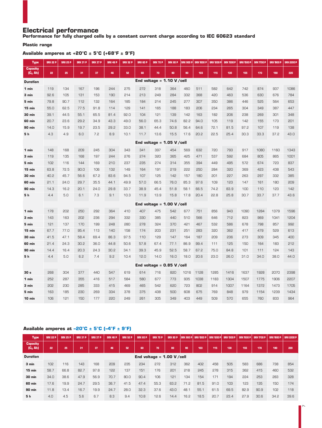# **Electrical performance**

**Performance for fully charged cells by a constant current charge according to IEC 60623 standard**

## **Plastic range**

**Available amperes at +20°C ± 5°C (+68°F ± 9°F)**

| <b>Type</b>                   | <b>SRX 22 P</b> | <b>SRX 25 P</b> | <b>SRX 31 P</b> | <b>SRX 37 P</b> | <b>SRX 46 P</b> | <b>SRX 52 P</b> | SRX 60 P                    | <b>SRX 70 P</b>             | <b>SRX 80 P</b> | <b>SRX 900 P</b> | <b>SRX 1000 P</b> | <b>SRX 1200 P</b> | <b>SRX 1300 P</b> | <b>SRX 1500 P</b> | <b>SRX 1700 P</b> | <b>SRX 1900 P</b> | <b>SRX 2200 P</b> |
|-------------------------------|-----------------|-----------------|-----------------|-----------------|-----------------|-----------------|-----------------------------|-----------------------------|-----------------|------------------|-------------------|-------------------|-------------------|-------------------|-------------------|-------------------|-------------------|
| <b>Capacity</b><br>$(C_5$ Ah) | 22              | 25              | 31              | 37              | 46              | 52              | 60                          | 70                          | 80              | 90               | 103               | 115               | 130               | 155               | 170               | 190               | 220               |
| <b>Duration</b>               |                 |                 |                 |                 |                 |                 | End voltage = $1.10 V/cell$ |                             |                 |                  |                   |                   |                   |                   |                   |                   |                   |
| 1 min                         | 119             | 134             | 167             | 196             | 244             | 275             | 272                         | 318                         | 364             | 460              | 511               | 582               | 642               | 742               | 874               | 937               | 1086              |
| 3 min                         | 92.6            | 105             | 131             | 153             | 190             | 214             | 213                         | 249                         | 284             | 332              | 368               | 420               | 463               | 536               | 630               | 676               | 784               |
| 5 min                         | 79.8            | 90.7            | 112             | 132             | 164             | 185             | 184                         | 214                         | 245             | 277              | 307               | 350               | 386               | 446               | 525               | 564               | 653               |
| 15 min                        | 55.0            | 62.5            | 77.5            | 91.8            | 114             | 129             | 141                         | 165                         | 188             | 183              | 206               | 234               | 265               | 304               | 349               | 387               | 447               |
| <b>30 min</b>                 | 39.1            | 44.5            | 55.1            | 65.5            | 81.4            | 92.0            | 104                         | 121                         | 139             | 142              | 163               | 182               | 206               | 238               | 269               | 301               | 348               |
| 60 min                        | 20.7            | 23.6            | 29.2            | 34.9            | 43.3            | 49.0            | 56.0                        | 65.3                        | 74.6            | 82.2             | 94.0              | 105               | 119               | 142               | 155               | 173               | 201               |
| <b>90 min</b>                 | 14.0            | 15.9            | 19.7            | 23.5            | 29.2            | 33.0            | 38.1                        | 44.4                        | 50.8            | 56.4             | 64.6              | 72.1              | 81.5              | 97.2              | 107               | 119               | 138               |
| 5 h                           | 4.3             | 4.9             | 6.0             | 7.2             | 8.9             | 10.1            | 11.7                        | 13.6                        | 15.5            | 17.6             | 20.2              | 22.5              | 25.4              | 30.3              | 33.3              | 37.2              | 43.0              |
|                               |                 |                 |                 |                 |                 |                 | End voltage = $1.05$ V/cell |                             |                 |                  |                   |                   |                   |                   |                   |                   |                   |
| 1 min                         | 148             | 168             | 209             | 245             | 304             | 343             | 341                         | 397                         | 454             | 569              | 632               | 720               | 793               | 917               | 1080              | 1160              | 1343              |
| 3 min                         | 119             | 135             | 168             | 197             | 244             | 276             | 274                         | 320                         | 365             | 425              | 471               | 537               | 592               | 684               | 805               | 865               | 1001              |
| 5 min                         | 102             | 116             | 144             | 169             | 210             | 237             | 235                         | 274                         | 314             | 355              | 394               | 449               | 495               | 572               | 674               | 723               | 837               |
| 15 min                        | 63.8            | 72.5            | 90.0            | 106             | 132             | 149             | 164                         | 191                         | 219             | 555              | 250               | 284               | 320               | 369               | 423               | 438               | 543               |
| <b>30 min</b>                 | 40.2            | 45.7            | 56.6            | 67.2            | 83.6            | 94.5            | 107                         | 125                         | 142             | 157              | 180               | 201               | 227               | 263               | 297               | 332               | 385               |
| 60 min                        | 21.1            | 24.0            | 29.7            | 35.5            | 44.1            | 49.9            | 57.0                        | 66.5                        | 76.0            | 85.3             | 97.6              | 109               | 123               | 147               | 161               | 180               | 209               |
| <b>90 min</b>                 | 14.3            | 16.2            | 20.1            | 24.0            | 29.8            | 33.7            | 38.9                        | 45.4                        | 51.8            | 58.1             | 66.5              | 74.2              | 83.9              | 100               | 110               | 123               | 142               |
| 5 h                           | 4.4             | 5.0             | 6.1             | 7.3             | 9.1             | 10.3            | 11.9                        | 13.9                        | 15.8            | 17.8             | 20.4              | 22.8              | 25.8              | 30.7              | 33.7              | 37.7              | 43.6              |
|                               |                 |                 |                 |                 |                 |                 |                             | End voltage = $1.00 V/cell$ |                 |                  |                   |                   |                   |                   |                   |                   |                   |
| 1 min                         | 178             | 202             | 250             | 292             | 364             | 410             | 407                         | 475                         | 542             | 677              | 751               | 856               | 943               | 1090              | 1284              | 1379              | 1596              |
| 3 min                         | 143             | 163             | 202             | 236             | 294             | 332             | 330                         | 385                         | 440             | 510              | 566               | 646               | 712               | 823               | 969               | 1041              | 1204              |
| 5 min                         | 121             | 137             | 170             | 199             | 248             | 280             | 278                         | 324                         | 370             | 421              | 467               | 532               | 586               | 678               | 798               | 857               | 992               |
| 15 min                        | 67.7            | 77.0            | 95.4            | 113             | 140             | 158             | 174                         | 203                         | 231             | 251              | 283               | 320               | 362               | 417               | 479               | 529               | 613               |
| 30 min                        | 41.5            | 47.1            | 58.4            | 69.4            | 86.3            | 97.5            | 110                         | 129                         | 147             | 164              | 187               | 209               | 236               | 273               | 309               | 345               | 400               |
| <b>60 min</b>                 | 21.4            | 24.3            | 30.2            | 36.0            | 44.8            | 50.6            | 57.8                        | 67.4                        | 77.1            | 86.9             | 99.4              | 111               | 125               | 150               | 164               | 183               | 212               |
| <b>90 min</b>                 | 14.4            | 16.4            | 20.3            | 24.3            | 30.2            | 34.1            | 39.3                        | 45.9                        | 52.5            | 58.7             | 67.2              | 75.0              | 84.8              | 101               | 111               | 124               | 143               |
| 5 h                           | 4.4             | 5.0             | 6.2             | 7.4             | 9.2             | 10.4            | 12.0                        | 14.0                        | 16.0            | 18.0             | 20.6              | 23.0              | 26.0              | 31.0              | 34.0              | 38.0              | 44.0              |
|                               |                 |                 |                 |                 |                 |                 | End voltage = $0.85$ V/cell |                             |                 |                  |                   |                   |                   |                   |                   |                   |                   |
| 30 <sub>s</sub>               | 268             | 304             | 377             | 440             | 547             | 619             | 614                         | 716                         | 820             | 1016             | 1128              | 1285              | 1416              | 1637              | 1928              | 2070              | 2398              |
| 1 min                         | 252             | 287             | 355             | 416             | 517             | 584             | 580                         | 677                         | 773             | 935              | 1038              | 1183              | 1304              | 1507              | 1775              | 1906              | 2207              |
| 3 min                         | 202             | 230             | 285             | 333             | 415             | 469             | 465                         | 542                         | 620             | 723              | 802               | 914               | 1007              | 1164              | 1372              | 1473              | 1705              |
| 5 min                         | 163             | 185             | 230             | 269             | 334             | 378             | 375                         | 438                         | 500             | 608              | 675               | 769               | 848               | 979               | 1154              | 1239              | 1434              |
| 10 min                        | 106             | 121             | 150             | 177             | 220             | 249             | 261                         | 305                         | 349             | 403              | 449               | 509               | 570               | 655               | 760               | 833               | 964               |

# **Available amperes at –20°C ± 5°C (–4°F ± 9°F)**

| <b>Type</b>                   | <b>SRX 22 P</b>             | <b>SRX 25 P</b> | <b>SRX 31 P</b> | <b>SRX 37 P</b> | <b>SRX 46 P</b> | <b>SRX 52 P</b> | SRX 60 P | <b>SRX 70 P</b> | <b>SRX 80 P</b> |      | <b>SRX 900 P SRX 1000 P SRX 1200 P</b> |      | <b>SRX 1300 P</b> | SRX 1500 P | <b>SRX 1700 P</b> | <b>SRX 1900 P</b> | <b>SRX 2200 P</b> |
|-------------------------------|-----------------------------|-----------------|-----------------|-----------------|-----------------|-----------------|----------|-----------------|-----------------|------|----------------------------------------|------|-------------------|------------|-------------------|-------------------|-------------------|
| <b>Capacity</b><br>$(C_5$ Ah) | 22                          | 25              | 31              | 37              | 46              | 52              | 60       | 70              | 80              | 90   | 103                                    | 115  | 130               | 155        | 170               | 190               | 220               |
| <b>Duration</b>               | End voltage = $1.00 V/cell$ |                 |                 |                 |                 |                 |          |                 |                 |      |                                        |      |                   |            |                   |                   |                   |
| 3 min                         | 102                         | 116             | 143             | 168             | 209             | 235             | 234      | 272             | 312             | 362  | 402                                    | 458  | 505               | 583        | 686               | 738               | 854               |
| $15$ min                      | 58.7                        | 66.8            | 82.7            | 97.8            | 122             | 137             | 151      | 176             | 201             | 218  | 245                                    | 278  | 315               | 362        | 415               | 460               | 532               |
| <b>30 min</b>                 | 34.0                        | 38.6            | 47.9            | 56.9            | 70.7            | 80.0            | 90.4     | 106             | 121             | 134  | 154                                    | 171  | 194               | 224        | 253               | 283               | 328               |
| <b>60 min</b>                 | 17.6                        | 19.9            | 24.7            | 29.5            | 36.7            | 41.5            | 47.4     | 55.3            | 63.2            | 71.2 | 81.5                                   | 91.0 | 103               | 123        | 135               | 150               | 174               |
| <b>90 min</b>                 | 11.8                        | 13.4            | 16.7            | 19.9            | 24.7            | 28.0            | 32.3     | 37.6            | 43.0            | 48.1 | 55.1                                   | 61.5 | 69.5              | 82.9       | 90.9              | 102               | 118               |
| 5 h                           | 4.0                         | 4.5             | 5.6             | 6.7             | 8.3             | 9.4             | 10.8     | 12.6            | 14.4            | 16.2 | 18.5                                   | 20.7 | 23.4              | 27.9       | 30.6              | 34.2              | 39.6              |